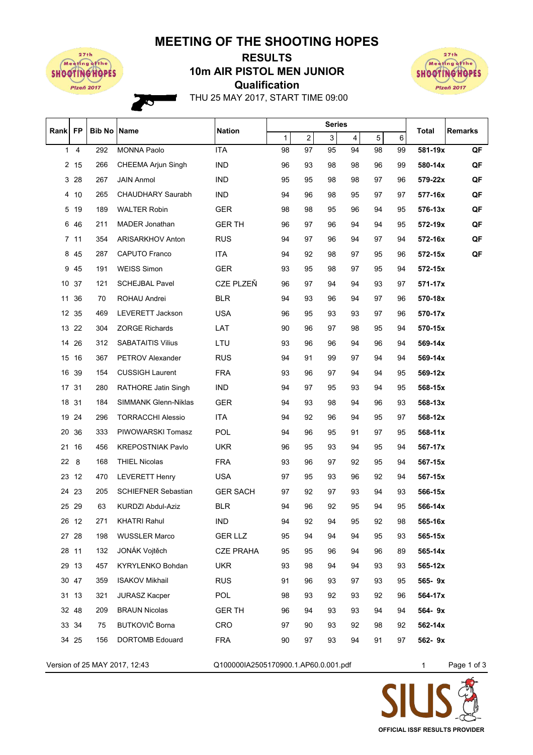## **MEETING OF THE SHOOTING HOPES**



Ó

## **Qualification 10m AIR PISTOL MEN JUNIOR RESULTS**



THU 25 MAY 2017, START TIME 09:00

| Rank FP      |       | <b>Bib No Name</b> |                            | <b>Nation</b>    | <b>Series</b> |                |    |    |    |    | Total   | <b>Remarks</b> |
|--------------|-------|--------------------|----------------------------|------------------|---------------|----------------|----|----|----|----|---------|----------------|
|              |       |                    |                            |                  | 1             | $\overline{c}$ | 3  | 4  | 5  | 6  |         |                |
| $\mathbf{1}$ | 4     | 292                | <b>MONNA Paolo</b>         | <b>ITA</b>       | 98            | 97             | 95 | 94 | 98 | 99 | 581-19x | QF             |
|              | 2 15  | 266                | <b>CHEEMA Arjun Singh</b>  | <b>IND</b>       | 96            | 93             | 98 | 98 | 96 | 99 | 580-14x | QF             |
|              | 3 28  | 267                | <b>JAIN Anmol</b>          | <b>IND</b>       | 95            | 95             | 98 | 98 | 97 | 96 | 579-22x | QF             |
|              | 4 10  | 265                | <b>CHAUDHARY Saurabh</b>   | <b>IND</b>       | 94            | 96             | 98 | 95 | 97 | 97 | 577-16x | QF             |
| 5            | 19    | 189                | <b>WALTER Robin</b>        | <b>GER</b>       | 98            | 98             | 95 | 96 | 94 | 95 | 576-13x | QF             |
| 6            | -46   | 211                | <b>MADER Jonathan</b>      | <b>GER TH</b>    | 96            | 97             | 96 | 94 | 94 | 95 | 572-19x | QF             |
|              | 7 11  | 354                | ARISARKHOV Anton           | <b>RUS</b>       | 94            | 97             | 96 | 94 | 97 | 94 | 572-16x | QF             |
| 8            | 45    | 287                | CAPUTO Franco              | ITA.             | 94            | 92             | 98 | 97 | 95 | 96 | 572-15x | QF             |
| 9            | 45    | 191                | <b>WEISS Simon</b>         | <b>GER</b>       | 93            | 95             | 98 | 97 | 95 | 94 | 572-15x |                |
|              | 10 37 | 121                | <b>SCHEJBAL Pavel</b>      | CZE PLZEŇ        | 96            | 97             | 94 | 94 | 93 | 97 | 571-17x |                |
|              | 11 36 | 70                 | ROHAU Andrei               | BLR.             | 94            | 93             | 96 | 94 | 97 | 96 | 570-18x |                |
|              | 12 35 | 469                | <b>LEVERETT Jackson</b>    | <b>USA</b>       | 96            | 95             | 93 | 93 | 97 | 96 | 570-17x |                |
|              | 13 22 | 304                | <b>ZORGE Richards</b>      | LAT              | 90            | 96             | 97 | 98 | 95 | 94 | 570-15x |                |
|              | 14 26 | 312                | <b>SABATAITIS Vilius</b>   | LTU              | 93            | 96             | 96 | 94 | 96 | 94 | 569-14x |                |
|              | 15 16 | 367                | <b>PETROV Alexander</b>    | <b>RUS</b>       | 94            | 91             | 99 | 97 | 94 | 94 | 569-14x |                |
|              | 16 39 | 154                | <b>CUSSIGH Laurent</b>     | <b>FRA</b>       | 93            | 96             | 97 | 94 | 94 | 95 | 569-12x |                |
|              | 17 31 | 280                | <b>RATHORE Jatin Singh</b> | <b>IND</b>       | 94            | 97             | 95 | 93 | 94 | 95 | 568-15x |                |
|              | 18 31 | 184                | SIMMANK Glenn-Niklas       | <b>GER</b>       | 94            | 93             | 98 | 94 | 96 | 93 | 568-13x |                |
|              | 19 24 | 296                | <b>TORRACCHI Alessio</b>   | <b>ITA</b>       | 94            | 92             | 96 | 94 | 95 | 97 | 568-12x |                |
|              | 20 36 | 333                | PIWOWARSKI Tomasz          | <b>POL</b>       | 94            | 96             | 95 | 91 | 97 | 95 | 568-11x |                |
| 21           | 16    | 456                | <b>KREPOSTNIAK Pavlo</b>   | UKR.             | 96            | 95             | 93 | 94 | 95 | 94 | 567-17x |                |
| 22           | 8     | 168                | <b>THIEL Nicolas</b>       | <b>FRA</b>       | 93            | 96             | 97 | 92 | 95 | 94 | 567-15x |                |
|              | 23 12 | 470                | <b>LEVERETT Henry</b>      | <b>USA</b>       | 97            | 95             | 93 | 96 | 92 | 94 | 567-15x |                |
|              | 24 23 | 205                | <b>SCHIEFNER Sebastian</b> | <b>GER SACH</b>  | 97            | 92             | 97 | 93 | 94 | 93 | 566-15x |                |
|              | 25 29 | 63                 | KURDZI Abdul-Aziz          | <b>BLR</b>       | 94            | 96             | 92 | 95 | 94 | 95 | 566-14x |                |
|              | 26 12 | 271                | <b>KHATRI Rahul</b>        | IND.             | 94            | 92             | 94 | 95 | 92 | 98 | 565-16x |                |
|              | 27 28 | 198                | <b>WUSSLER Marco</b>       | <b>GER LLZ</b>   | 95            | 94             | 94 | 94 | 95 | 93 | 565-15x |                |
|              | 28 11 | 132                | JONÁK Vojtěch              | <b>CZE PRAHA</b> | 95            | 95             | 96 | 94 | 96 | 89 | 565-14x |                |
|              | 29 13 | 457                | KYRYLENKO Bohdan           | <b>UKR</b>       | 93            | 98             | 94 | 94 | 93 | 93 | 565-12x |                |
|              | 30 47 | 359                | <b>ISAKOV Mikhail</b>      | <b>RUS</b>       | 91            | 96             | 93 | 97 | 93 | 95 | 565-9x  |                |
|              | 31 13 | 321                | <b>JURASZ Kacper</b>       | <b>POL</b>       | 98            | 93             | 92 | 93 | 92 | 96 | 564-17x |                |
|              | 32 48 | 209                | <b>BRAUN Nicolas</b>       | <b>GER TH</b>    | 96            | 94             | 93 | 93 | 94 | 94 | 564-9x  |                |
|              | 33 34 | 75                 | BUTKOVIČ Borna             | CRO              | 97            | 90             | 93 | 92 | 98 | 92 | 562-14x |                |
|              | 34 25 | 156                | <b>DORTOMB Edouard</b>     | <b>FRA</b>       | 90            | 97             | 93 | 94 | 91 | 97 | 562-9x  |                |
|              |       |                    |                            |                  |               |                |    |    |    |    |         |                |

Version of 25 MAY 2017, 12:43 Q100000IA2505170900.1.AP60.0.001.pdf 1 Page 1 of 3

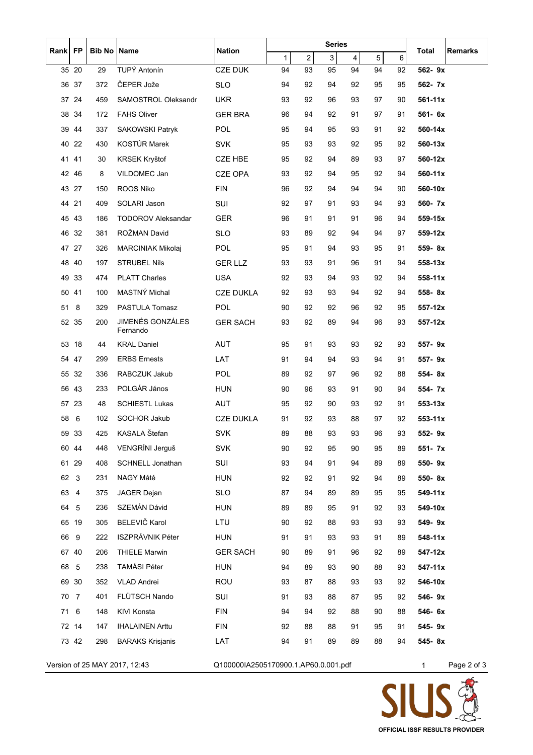| Rank                             | <b>FP</b> | <b>Bib No</b> | Name                         | <b>Nation</b>                        | <b>Series</b> |                |    |    |    | Total   | <b>Remarks</b> |                 |
|----------------------------------|-----------|---------------|------------------------------|--------------------------------------|---------------|----------------|----|----|----|---------|----------------|-----------------|
|                                  |           |               |                              |                                      | $\mathbf{1}$  | $\overline{2}$ | 3  | 4  | 5  | $\,6\,$ |                |                 |
|                                  | 35 20     | 29            | TUPÝ Antonín                 | <b>CZE DUK</b>                       | 94            | 93             | 95 | 94 | 94 | 92      | 562-9x         |                 |
| 36                               | 37        | 372           | ČEPER Jože                   | <b>SLO</b>                           | 94            | 92             | 94 | 92 | 95 | 95      | 562- 7x        |                 |
|                                  | 37 24     | 459           | SAMOSTROL Oleksandr          | <b>UKR</b>                           | 93            | 92             | 96 | 93 | 97 | 90      | $561 - 11x$    |                 |
|                                  | 38 34     | 172           | <b>FAHS Oliver</b>           | <b>GER BRA</b>                       | 96            | 94             | 92 | 91 | 97 | 91      | 561-6x         |                 |
|                                  | 3944      | 337           | <b>SAKOWSKI Patryk</b>       | POL                                  | 95            | 94             | 95 | 93 | 91 | 92      | 560-14x        |                 |
| 40                               | 22        | 430           | KOSTÚR Marek                 | <b>SVK</b>                           | 95            | 93             | 93 | 92 | 95 | 92      | 560-13x        |                 |
|                                  | 41 41     | 30            | KRSEK Kryštof                | <b>CZE HBE</b>                       | 95            | 92             | 94 | 89 | 93 | 97      | 560-12x        |                 |
|                                  | 42 46     | 8             | VILDOMEC Jan                 | <b>CZE OPA</b>                       | 93            | 92             | 94 | 95 | 92 | 94      | 560-11x        |                 |
|                                  | 43 27     | 150           | ROOS Niko                    | <b>FIN</b>                           | 96            | 92             | 94 | 94 | 94 | 90      | 560-10x        |                 |
|                                  | 44 21     | 409           | SOLARI Jason                 | SUI                                  | 92            | 97             | 91 | 93 | 94 | 93      | 560- 7x        |                 |
|                                  | 45 43     | 186           | <b>TODOROV Aleksandar</b>    | <b>GER</b>                           | 96            | 91             | 91 | 91 | 96 | 94      | 559-15x        |                 |
|                                  | 46 32     | 381           | ROŽMAN David                 | <b>SLO</b>                           | 93            | 89             | 92 | 94 | 94 | 97      | 559-12x        |                 |
|                                  | 47 27     | 326           | <b>MARCINIAK Mikolaj</b>     | <b>POL</b>                           | 95            | 91             | 94 | 93 | 95 | 91      | 559-8x         |                 |
| 48                               | 40        | 197           | <b>STRUBEL Nils</b>          | <b>GER LLZ</b>                       | 93            | 93             | 91 | 96 | 91 | 94      | 558-13x        |                 |
| 49                               | 33        | 474           | <b>PLATT Charles</b>         | <b>USA</b>                           | 92            | 93             | 94 | 93 | 92 | 94      | 558-11x        |                 |
| 50                               | 41        | 100           | MASTNÝ Michal                | <b>CZE DUKLA</b>                     | 92            | 93             | 93 | 94 | 92 | 94      | 558-8x         |                 |
| 51                               | 8         | 329           | PASTULA Tomasz               | <b>POL</b>                           | 90            | 92             | 92 | 96 | 92 | 95      | 557-12x        |                 |
|                                  | 52 35     | 200           | JIMENÉS GONZÁLES<br>Fernando | <b>GER SACH</b>                      | 93            | 92             | 89 | 94 | 96 | 93      | 557-12x        |                 |
| 53                               | 18        | 44            | <b>KRAL Daniel</b>           | <b>AUT</b>                           | 95            | 91             | 93 | 93 | 92 | 93      | 557-9x         |                 |
| 54                               | 47        | 299           | <b>ERBS Ernests</b>          | LAT                                  | 91            | 94             | 94 | 93 | 94 | 91      | 557-9x         |                 |
|                                  | 55 32     | 336           | RABCZUK Jakub                | POL                                  | 89            | 92             | 97 | 96 | 92 | 88      | 554-8x         |                 |
|                                  | 56 43     | 233           | POLGÁR János                 | <b>HUN</b>                           | 90            | 96             | 93 | 91 | 90 | 94      | 554- 7x        |                 |
|                                  | 57 23     | 48            | <b>SCHIESTL Lukas</b>        | AUT                                  | 95            | 92             | 90 | 93 | 92 | 91      | 553-13x        |                 |
| 58                               | 6         | 102           | <b>SOCHOR Jakub</b>          | <b>CZE DUKLA</b>                     | 91            | 92             | 93 | 88 | 97 | 92      | 553-11x        |                 |
| 59                               | 33        | 425           | KASALA Štefan                | <b>SVK</b>                           | 89            | 88             | 93 | 93 | 96 | 93      | 552-9x         |                 |
|                                  | 60 44     | 448           | VENGRÍNI Jerguš              | <b>SVK</b>                           | 90            | 92             | 95 | 90 | 95 | 89      | 551- 7x        |                 |
|                                  | 61 29     | 408           | <b>SCHNELL Jonathan</b>      | SUI                                  | 93            | 94             | 91 | 94 | 89 | 89      | 550-9x         |                 |
| 62                               | 3         | 231           | NAGY Máté                    | <b>HUN</b>                           | 92            | 92             | 91 | 92 | 94 | 89      | 550-8x         |                 |
| 63                               | 4         | 375           | JAGER Dejan                  | <b>SLO</b>                           | 87            | 94             | 89 | 89 | 95 | 95      | 549-11x        |                 |
| 64                               | 5         | 236           | SZEMÁN Dávid                 | <b>HUN</b>                           | 89            | 89             | 95 | 91 | 92 | 93      | 549-10x        |                 |
|                                  | 65 19     | 305           | BELEVIČ Karol                | LTU                                  | 90            | 92             | 88 | 93 | 93 | 93      | 549-9x         |                 |
| 66                               | 9         | 222           | ISZPRÁVNIK Péter             | <b>HUN</b>                           | 91            | 91             | 93 | 93 | 91 | 89      | 548-11x        |                 |
|                                  | 67 40     | 206           | <b>THIELE Marwin</b>         | <b>GER SACH</b>                      | 90            | 89             | 91 | 96 | 92 | 89      | 547-12x        |                 |
| 68                               | 5         | 238           | <b>TAMÁSI Péter</b>          | <b>HUN</b>                           | 94            | 89             | 93 | 90 | 88 | 93      | $547 - 11x$    |                 |
|                                  | 69 30     | 352           | <b>VLAD Andrei</b>           | <b>ROU</b>                           | 93            | 87             | 88 | 93 | 93 | 92      | 546-10x        |                 |
| 70                               | 7         | 401           | FLÜTSCH Nando                | SUI                                  | 91            | 93             | 88 | 87 | 95 | 92      | 546-9x         |                 |
| 71                               | 6         | 148           | KIVI Konsta                  | <b>FIN</b>                           | 94            | 94             | 92 | 88 | 90 | 88      | 546- 6x        |                 |
|                                  | 72 14     | 147           | <b>IHALAINEN Arttu</b>       | <b>FIN</b>                           | 92            | 88             | 88 | 91 | 95 | 91      | 545-9x         |                 |
|                                  | 73 42     | 298           | <b>BARAKS Krisjanis</b>      | LAT                                  | 94            | 91             | 89 | 89 | 88 | 94      | 545-8x         |                 |
| Version of 25 $MAV$ 2017 $12.43$ |           |               |                              | 0100000142505170900.1 AP60.0 001 pdf |               |                |    |    |    |         |                | $P_{200}$ $20f$ |